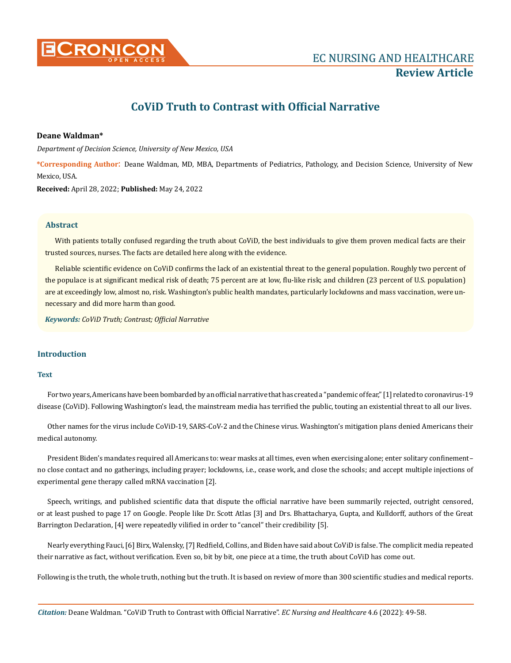

# **CoViD Truth to Contrast with Official Narrative**

# **Deane Waldman\***

*Department of Decision Science, University of New Mexico, USA*

**\*Corresponding Author**: Deane Waldman, MD, MBA, Departments of Pediatrics, Pathology, and Decision Science, University of New Mexico, USA.

**Received:** April 28, 2022; **Published:** May 24, 2022

#### **Abstract**

With patients totally confused regarding the truth about CoViD, the best individuals to give them proven medical facts are their trusted sources, nurses. The facts are detailed here along with the evidence.

Reliable scientific evidence on CoViD confirms the lack of an existential threat to the general population. Roughly two percent of the populace is at significant medical risk of death; 75 percent are at low, flu-like risk; and children (23 percent of U.S. population) are at exceedingly low, almost no, risk. Washington's public health mandates, particularly lockdowns and mass vaccination, were unnecessary and did more harm than good.

*Keywords: CoViD Truth; Contrast; Official Narrative*

# **Introduction**

# **Text**

For two years, Americans have been bombarded by an official narrative that has created a "pandemic of fear," [1] related to coronavirus-19 disease (CoViD). Following Washington's lead, the mainstream media has terrified the public, touting an existential threat to all our lives.

Other names for the virus include CoViD-19, SARS-CoV-2 and the Chinese virus. Washington's mitigation plans denied Americans their medical autonomy.

President Biden's mandates required all Americans to: wear masks at all times, even when exercising alone; enter solitary confinement– no close contact and no gatherings, including prayer; lockdowns, i.e., cease work, and close the schools; and accept multiple injections of experimental gene therapy called mRNA vaccination [2].

Speech, writings, and published scientific data that dispute the official narrative have been summarily rejected, outright censored, or at least pushed to page 17 on Google. People like Dr. Scott Atlas [3] and Drs. Bhattacharya, Gupta, and Kulldorff, authors of the Great Barrington Declaration, [4] were repeatedly vilified in order to "cancel" their credibility [5].

Nearly everything Fauci, [6] Birx, Walensky, [7] Redfield, Collins, and Biden have said about CoViD is false. The complicit media repeated their narrative as fact, without verification. Even so, bit by bit, one piece at a time, the truth about CoViD has come out.

Following is the truth, the whole truth, nothing but the truth. It is based on review of more than 300 scientific studies and medical reports.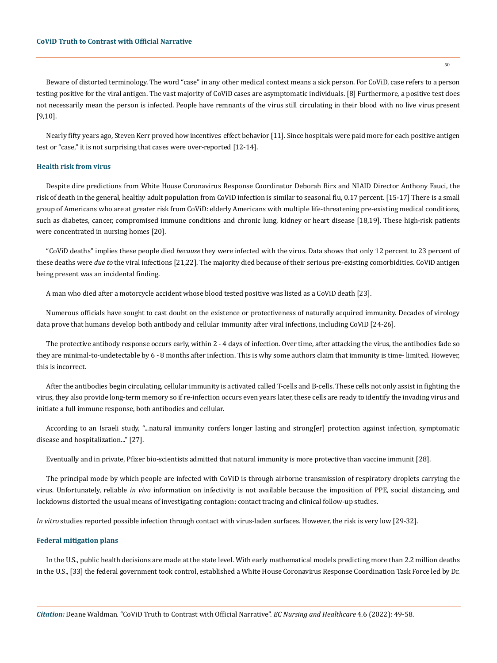Beware of distorted terminology. The word "case" in any other medical context means a sick person. For CoViD, case refers to a person testing positive for the viral antigen. The vast majority of CoViD cases are asymptomatic individuals. [8] Furthermore, a positive test does not necessarily mean the person is infected. People have remnants of the virus still circulating in their blood with no live virus present [9,10].

Nearly fifty years ago, Steven Kerr proved how incentives effect behavior [11]. Since hospitals were paid more for each positive antigen test or "case," it is not surprising that cases were over-reported [12-14].

# **Health risk from virus**

Despite dire predictions from White House Coronavirus Response Coordinator Deborah Birx and NIAID Director Anthony Fauci, the risk of death in the general, healthy adult population from CoViD infection is similar to seasonal flu, 0.17 percent. [15-17] There is a small group of Americans who are at greater risk from CoViD: elderly Americans with multiple life-threatening pre-existing medical conditions, such as diabetes, cancer, compromised immune conditions and chronic lung, kidney or heart disease [18,19]. These high-risk patients were concentrated in nursing homes [20].

"CoViD deaths" implies these people died *because* they were infected with the virus. Data shows that only 12 percent to 23 percent of these deaths were *due to* the viral infections [21,22]. The majority died because of their serious pre-existing comorbidities. CoViD antigen being present was an incidental finding.

A man who died after a motorcycle accident whose blood tested positive was listed as a CoViD death [23].

Numerous officials have sought to cast doubt on the existence or protectiveness of naturally acquired immunity. Decades of virology data prove that humans develop both antibody and cellular immunity after viral infections, including CoViD [24-26].

The protective antibody response occurs early, within 2 - 4 days of infection. Over time, after attacking the virus, the antibodies fade so they are minimal-to-undetectable by 6 - 8 months after infection. This is why some authors claim that immunity is time- limited. However, this is incorrect.

After the antibodies begin circulating, cellular immunity is activated called T-cells and B-cells. These cells not only assist in fighting the virus, they also provide long-term memory so if re-infection occurs even years later, these cells are ready to identify the invading virus and initiate a full immune response, both antibodies and cellular.

According to an Israeli study, "...natural immunity confers longer lasting and strong[er] protection against infection, symptomatic disease and hospitalization..." [27].

Eventually and in private, Pfizer bio-scientists admitted that natural immunity is more protective than vaccine immunit [28].

The principal mode by which people are infected with CoViD is through airborne transmission of respiratory droplets carrying the virus. Unfortunately, reliable *in vivo* information on infectivity is not available because the imposition of PPE, social distancing, and lockdowns distorted the usual means of investigating contagion: contact tracing and clinical follow-up studies.

*In vitro* studies reported possible infection through contact with virus-laden surfaces. However, the risk is very low [29-32].

#### **Federal mitigation plans**

In the U.S., public health decisions are made at the state level. With early mathematical models predicting more than 2.2 million deaths in the U.S., [33] the federal government took control, established a White House Coronavirus Response Coordination Task Force led by Dr.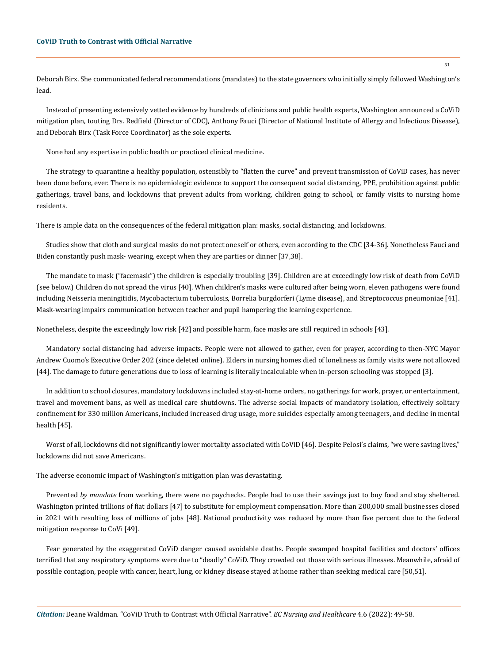Deborah Birx. She communicated federal recommendations (mandates) to the state governors who initially simply followed Washington's lead.

Instead of presenting extensively vetted evidence by hundreds of clinicians and public health experts, Washington announced a CoViD mitigation plan, touting Drs. Redfield (Director of CDC), Anthony Fauci (Director of National Institute of Allergy and Infectious Disease), and Deborah Birx (Task Force Coordinator) as the sole experts.

None had any expertise in public health or practiced clinical medicine.

The strategy to quarantine a healthy population, ostensibly to "flatten the curve" and prevent transmission of CoViD cases, has never been done before, ever. There is no epidemiologic evidence to support the consequent social distancing, PPE, prohibition against public gatherings, travel bans, and lockdowns that prevent adults from working, children going to school, or family visits to nursing home residents.

There is ample data on the consequences of the federal mitigation plan: masks, social distancing, and lockdowns.

Studies show that cloth and surgical masks do not protect oneself or others, even according to the CDC [34-36]. Nonetheless Fauci and Biden constantly push mask- wearing, except when they are parties or dinner [37,38].

The mandate to mask ("facemask") the children is especially troubling [39]. Children are at exceedingly low risk of death from CoViD (see below.) Children do not spread the virus [40]. When children's masks were cultured after being worn, eleven pathogens were found including Neisseria meningitidis, Mycobacterium tuberculosis, Borrelia burgdorferi (Lyme disease), and Streptococcus pneumoniae [41]. Mask-wearing impairs communication between teacher and pupil hampering the learning experience.

Nonetheless, despite the exceedingly low risk [42] and possible harm, face masks are still required in schools [43].

Mandatory social distancing had adverse impacts. People were not allowed to gather, even for prayer, according to then-NYC Mayor Andrew Cuomo's Executive Order 202 (since deleted online). Elders in nursing homes died of loneliness as family visits were not allowed [44]. The damage to future generations due to loss of learning is literally incalculable when in-person schooling was stopped [3].

In addition to school closures, mandatory lockdowns included stay-at-home orders, no gatherings for work, prayer, or entertainment, travel and movement bans, as well as medical care shutdowns. The adverse social impacts of mandatory isolation, effectively solitary confinement for 330 million Americans, included increased drug usage, more suicides especially among teenagers, and decline in mental health [45].

Worst of all, lockdowns did not significantly lower mortality associated with CoViD [46]. Despite Pelosi's claims, "we were saving lives," lockdowns did not save Americans.

The adverse economic impact of Washington's mitigation plan was devastating.

Prevented *by mandate* from working, there were no paychecks. People had to use their savings just to buy food and stay sheltered. Washington printed trillions of fiat dollars [47] to substitute for employment compensation. More than 200,000 small businesses closed in 2021 with resulting loss of millions of jobs [48]. National productivity was reduced by more than five percent due to the federal mitigation response to CoVi [49].

Fear generated by the exaggerated CoViD danger caused avoidable deaths. People swamped hospital facilities and doctors' offices terrified that any respiratory symptoms were due to "deadly" CoViD. They crowded out those with serious illnesses. Meanwhile, afraid of possible contagion, people with cancer, heart, lung, or kidney disease stayed at home rather than seeking medical care [50,51].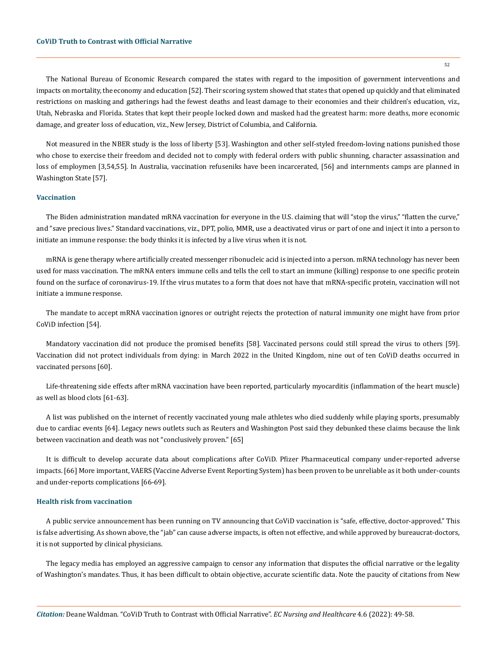The National Bureau of Economic Research compared the states with regard to the imposition of government interventions and impacts on mortality, the economy and education [52]. Their scoring system showed that states that opened up quickly and that eliminated restrictions on masking and gatherings had the fewest deaths and least damage to their economies and their children's education, viz., Utah, Nebraska and Florida. States that kept their people locked down and masked had the greatest harm: more deaths, more economic damage, and greater loss of education, viz., New Jersey, District of Columbia, and California.

Not measured in the NBER study is the loss of liberty [53]. Washington and other self-styled freedom-loving nations punished those who chose to exercise their freedom and decided not to comply with federal orders with public shunning, character assassination and loss of employmen [3,54,55]. In Australia, vaccination refuseniks have been incarcerated, [56] and internments camps are planned in Washington State [57].

# **Vaccination**

The Biden administration mandated mRNA vaccination for everyone in the U.S. claiming that will "stop the virus," "flatten the curve," and "save precious lives." Standard vaccinations, viz., DPT, polio, MMR, use a deactivated virus or part of one and inject it into a person to initiate an immune response: the body thinks it is infected by a live virus when it is not.

mRNA is gene therapy where artificially created messenger ribonucleic acid is injected into a person. mRNA technology has never been used for mass vaccination. The mRNA enters immune cells and tells the cell to start an immune (killing) response to one specific protein found on the surface of coronavirus-19. If the virus mutates to a form that does not have that mRNA-specific protein, vaccination will not initiate a immune response.

The mandate to accept mRNA vaccination ignores or outright rejects the protection of natural immunity one might have from prior CoViD infection [54].

Mandatory vaccination did not produce the promised benefits [58]. Vaccinated persons could still spread the virus to others [59]. Vaccination did not protect individuals from dying: in March 2022 in the United Kingdom, nine out of ten CoViD deaths occurred in vaccinated persons [60].

Life-threatening side effects after mRNA vaccination have been reported, particularly myocarditis (inflammation of the heart muscle) as well as blood clots [61-63].

A list was published on the internet of recently vaccinated young male athletes who died suddenly while playing sports, presumably due to cardiac events [64]. Legacy news outlets such as Reuters and Washington Post said they debunked these claims because the link between vaccination and death was not "conclusively proven." [65]

It is difficult to develop accurate data about complications after CoViD. Pfizer Pharmaceutical company under-reported adverse impacts. [66] More important, VAERS (Vaccine Adverse Event Reporting System) has been proven to be unreliable as it both under-counts and under-reports complications [66-69].

## **Health risk from vaccination**

A public service announcement has been running on TV announcing that CoViD vaccination is "safe, effective, doctor-approved." This is false advertising. As shown above, the "jab" can cause adverse impacts, is often not effective, and while approved by bureaucrat-doctors, it is not supported by clinical physicians.

The legacy media has employed an aggressive campaign to censor any information that disputes the official narrative or the legality of Washington's mandates. Thus, it has been difficult to obtain objective, accurate scientific data. Note the paucity of citations from New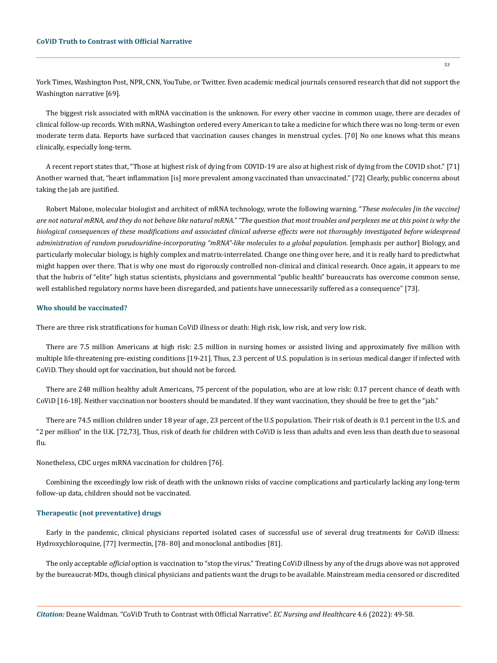York Times, Washington Post, NPR, CNN, YouTube, or Twitter. Even academic medical journals censored research that did not support the Washington narrative [69].

The biggest risk associated with mRNA vaccination is the unknown. For every other vaccine in common usage, there are decades of clinical follow-up records. With mRNA, Washington ordered every American to take a medicine for which there was no long-term or even moderate term data. Reports have surfaced that vaccination causes changes in menstrual cycles. [70] No one knows what this means clinically, especially long-term.

A recent report states that, "Those at highest risk of dying from COVID-19 are also at highest risk of dying from the COVID shot." [71] Another warned that, "heart inflammation [is] more prevalent among vaccinated than unvaccinated." [72] Clearly, public concerns about taking the jab are justified.

Robert Malone, molecular biologist and architect of mRNA technology, wrote the following warning. "*These molecules [in the vaccine] are not natural mRNA, and they do not behave like natural mRNA." "The question that most troubles and perplexes me at this point is why the biological consequences of these modifications and associated clinical adverse effects were not thoroughly investigated before widespread administration of random pseudouridine-incorporating "mRNA"-like molecules to a global population*. [emphasis per author] Biology, and particularly molecular biology, is highly complex and matrix-interrelated. Change one thing over here, and it is really hard to predictwhat might happen over there. That is why one must do rigorously controlled non-clinical and clinical research. Once again, it appears to me that the hubris of "elite" high status scientists, physicians and governmental "public health" bureaucrats has overcome common sense, well established regulatory norms have been disregarded, and patients have unnecessarily suffered as a consequence" [73].

#### **Who should be vaccinated?**

There are three risk stratifications for human CoViD illness or death: High risk, low risk, and very low risk.

There are 7.5 million Americans at high risk: 2.5 million in nursing homes or assisted living and approximately five million with multiple life-threatening pre-existing conditions [19-21]. Thus, 2.3 percent of U.S. population is in serious medical danger if infected with CoViD. They should opt for vaccination, but should not be forced.

There are 248 million healthy adult Americans, 75 percent of the population, who are at low risk: 0.17 percent chance of death with CoViD [16-18]. Neither vaccination nor boosters should be mandated. If they want vaccination, they should be free to get the "jab."

There are 74.5 million children under 18 year of age, 23 percent of the U.S population. Their risk of death is 0.1 percent in the U.S. and "2 per million" in the U.K. [72,73], Thus, risk of death for children with CoViD is less than adults and even less than death due to seasonal flu.

Nonetheless, CDC urges mRNA vaccination for children [76].

Combining the exceedingly low risk of death with the unknown risks of vaccine complications and particularly lacking any long-term follow-up data, children should not be vaccinated.

# **Therapeutic (not preventative) drugs**

Early in the pandemic, clinical physicians reported isolated cases of successful use of several drug treatments for CoViD illness: Hydroxychloroquine, [77] Ivermectin, [78- 80] and monoclonal antibodies [81].

The only acceptable *official* option is vaccination to "stop the virus." Treating CoViD illness by any of the drugs above was not approved by the bureaucrat-MDs, though clinical physicians and patients want the drugs to be available. Mainstream media censored or discredited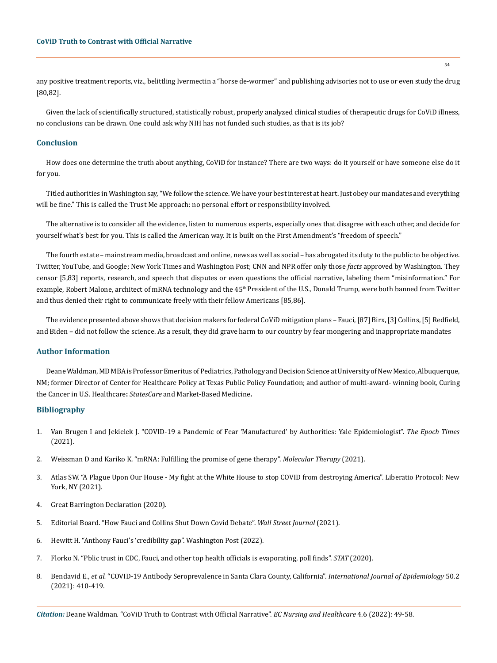any positive treatment reports, viz., belittling Ivermectin a "horse de-wormer" and publishing advisories not to use or even study the drug [80,82].

Given the lack of scientifically structured, statistically robust, properly analyzed clinical studies of therapeutic drugs for CoViD illness, no conclusions can be drawn. One could ask why NIH has not funded such studies, as that is its job?

## **Conclusion**

How does one determine the truth about anything, CoViD for instance? There are two ways: do it yourself or have someone else do it for you.

Titled authorities in Washington say, "We follow the science. We have your best interest at heart. Just obey our mandates and everything will be fine." This is called the Trust Me approach: no personal effort or responsibility involved.

The alternative is to consider all the evidence, listen to numerous experts, especially ones that disagree with each other, and decide for yourself what's best for you. This is called the American way. It is built on the First Amendment's "freedom of speech."

The fourth estate – mainstream media, broadcast and online, news as well as social – has abrogated its duty to the public to be objective. Twitter, YouTube, and Google; New York Times and Washington Post; CNN and NPR offer only those *facts* approved by Washington. They censor [5,83] reports, research, and speech that disputes or even questions the official narrative, labeling them "misinformation." For example, Robert Malone, architect of mRNA technology and the 45<sup>th</sup> President of the U.S., Donald Trump, were both banned from Twitter and thus denied their right to communicate freely with their fellow Americans [85,86].

The evidence presented above shows that decision makers for federal CoViD mitigation plans – Fauci, [87] Birx, [3] Collins, [5] Redfield, and Biden – did not follow the science. As a result, they did grave harm to our country by fear mongering and inappropriate mandates

## **Author Information**

Deane Waldman, MD MBA is Professor Emeritus of Pediatrics, Pathology and Decision Science at University of New Mexico, Albuquerque, NM; former Director of Center for Healthcare Policy at Texas Public Policy Foundation; and author of multi-award- winning book, [Curing](https://amzn.to/2OWKbLs)  [the Cancer in U.S. Healthcare](https://amzn.to/2OWKbLs)**:** *StatesCare* [and Market-Based](https://www.deanewaldman.com/cureforhealthcare.html) [Medicine](https://www.deanewaldman.com/cureforhealthcare.html)**.**

#### **Bibliography**

- 1. [Van Brugen I and Jekielek J. "COVID-19 a Pandemic of Fear 'Manufactured' by Authorities: Yale Epidemiologist".](https://news.yale.edu/in-focus/yale-responds-covid-19) *The Epoch Times*  [\(2021\).](https://news.yale.edu/in-focus/yale-responds-covid-19)
- 2. [Weissman D and Kariko K. "mRNA: Fulfilling the promise of gene therapy".](https://www.ncbi.nlm.nih.gov/pmc/articles/PMC4817894/) *Molecular Therapy* (2021).
- 3. Atlas SW. "A Plague Upon Our House My fight at the White House to stop COVID from destroying America". Liberatio Protocol: New York, NY (2021).
- 4. [Great Barrington Declaration \(2020\).](https://gbdeclaration.org/)
- 5. [Editorial Board. "How Fauci and Collins Shut Down Covid Debate".](https://www.wsj.com/articles/fauci-collins-emails-great-barrington-declaration-covid-pandemic-lockdown-11640129116) *Wall Street Journal* (2021).
- 6. [Hewitt H. "Anthony Fauci's 'credibility gap". Washington Post \(2022\).](https://www.washingtonpost.com/opinions/2022/01/27/anthony-fauci-credibility-gap-coronavirus/)
- 7. [Florko N. "Pblic trust in CDC, Fauci, and other top health officials is evaporating, poll finds".](https://www.statnews.com/2020/09/10/trust-cdc-fauci-evaporating/) *STAT* (2020).
- 8. Bendavid E., *et al.* ["COVID-19 Antibody Seroprevalence in Santa Clara County, California".](https://www.medrxiv.org/content/10.1101/2020.04.14.20062463v2) *International Journal of Epidemiology* 50.2 [\(2021\): 410-419.](https://www.medrxiv.org/content/10.1101/2020.04.14.20062463v2)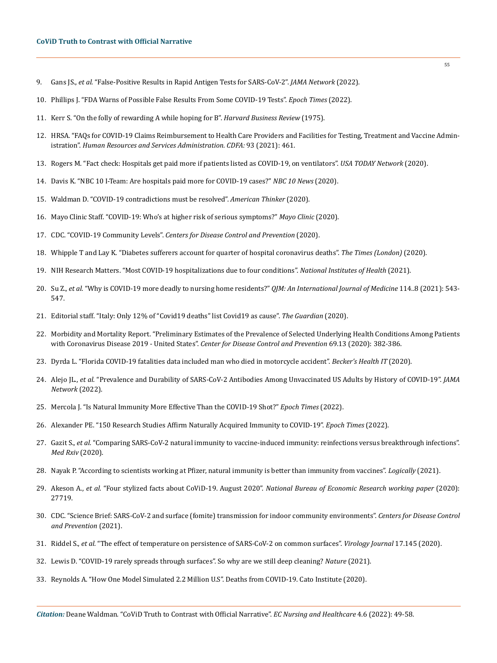- 9. Gans JS., *et al.* ["False-Positive Results in Rapid Antigen Tests for SARS-CoV-2".](https://jamanetwork.com/journals/jama/fullarticle/2788067) *JAMA Network* (2022).
- 10. [Phillips J. "FDA Warns of Possible False Results From Some COVID-19 Tests".](https://www.fda.gov/consumers/consumer-updates/beware-fraudulent-coronavirus-tests-vaccines-and-treatments) *Epoch Times* (2022).
- 11. [Kerr S. "On the folly of rewarding A while hoping for B".](https://web.mit.edu/curhan/www/docs/Articles/15341_Readings/Motivation/Kerr_Folly_of_rewarding_A_while_hoping_for_B.pdf) *Harvard Business Review* (1975).
- 12. [HRSA. "FAQs for COVID-19 Claims Reimbursement to Health Care Providers and Facilities for Testing, Treatment and Vaccine Admin](https://www.hrsa.gov/CovidUninsuredClaim)istration". *[Human Resources and Services Administration. CDFA:](https://www.hrsa.gov/CovidUninsuredClaim)* 93 (2021): 461.
- 13. [Rogers M. "Fact check: Hospitals get paid more if patients listed as COVID-19, on ventilators".](https://www.healthleadersmedia.com/finance/fact-check-hospitals-get-paid-more-if-patients-listed-covid-19-ventilators) *USA TODAY Network* (2020).
- 14. [Davis K. "NBC 10 I-Team: Are hospitals paid more for COVID-19 cases?"](https://turnto10.com/i-team/nbc-10-i-team-are-hospitals-paid-more-for-covid-19-cases) *NBC 10 News* (2020).
- 15. Waldman D. "COVID-19 contradictions must be resolved". *American Thinker* (2020).
- 16. [Mayo Clinic Staff. "COVID-19: Who's at higher risk of serious symptoms?"](https://www.mayoclinic.org/diseases-conditions/coronavirus/in-depth/coronavirus-who-is-at-risk/art-20483301) *Mayo Clinic* (2020).
- 17. CDC. "COVID-19 Community Levels". *[Centers for Disease Control and Prevention](https://www.cdc.gov/coronavirus/2019-ncov/science/community-levels.html)* (2020).
- 18. [Whipple T and Lay K. "Diabetes sufferers account for quarter of hospital coronavirus deaths".](https://www.thetimes.co.uk/article/diabetes-sufferers-account-for-quarter-of-hospital-coronavirus-deaths-lpf2rnkpf) *The Times (London)* (2020).
- 19. [NIH Research Matters. "Most COVID-19 hospitalizations due to four conditions".](https://www.nih.gov/news-events/nih-research-matters/most-covid-19-hospitalizations-due-four-conditions) *National Institutes of Health* (2021).
- 20. Su Z., *et al.* ["Why is COVID-19 more deadly to nursing home residents?"](https://www.researchgate.net/publication/348553708_Why_is_COVID-19_more_deadly_to_nursing_home_residents) *QJM: An International Journal of Medicine* 114..8 (2021): 543- [547.](https://www.researchgate.net/publication/348553708_Why_is_COVID-19_more_deadly_to_nursing_home_residents)
- 21. [Editorial staff. "Italy: Only 12% of "Covid19 deaths" list Covid19 as cause".](https://covid19.who.int/) *The Guardian* (2020).
- 22. [Morbidity and Mortality Report. "Preliminary Estimates of the Prevalence of Selected Underlying Health Conditions Among Patients](https://covid19-evidence.paho.org/handle/20.500.12663/946)  [with Coronavirus Disease 2019 - United States".](https://covid19-evidence.paho.org/handle/20.500.12663/946) *Center for Disease Control and Prevention* 69.13 (2020): 382-386.
- 23. [Dyrda L. "Florida COVID-19 fatalities data included man who died in motorcycle accident".](https://www.beckershospitalreview.com/healthcare-information-technology/florida-covid-19-fatalities-data-included-man-who-died-in-motorcycle-accident.html) *Becker's Health IT* (2020).
- 24. Alejo JL., *et al.* ["Prevalence and Durability of SARS-CoV-2 Antibodies Among Unvaccinated US Adults by History of COVID-19".](https://pubmed.ncbi.nlm.nih.gov/35113143/) *JAMA [Network](https://pubmed.ncbi.nlm.nih.gov/35113143/)* (2022).
- 25. [Mercola J. "Is Natural Immunity More Effective Than the COVID-19 Shot?"](https://www.hopkinsmedicine.org/health/conditions-and-diseases/coronavirus/covid-natural-immunity-what-you-need-to-know) *Epoch Times* (2022).
- 26. [Alexander PE. "150 Research Studies Affirm Naturally Acquired Immunity to COVID-19".](https://www.nebraskamed.com/COVID/covid-19-studies-natural-immunity-versus-vaccination) *Epoch Times* (2022).
- 27. Gazit S., *et al.* ["Comparing SARS-CoV-2 natural immunity to vaccine-induced immunity: reinfections versus breakthrough infections".](https://www.medrxiv.org/content/10.1101/2021.08.24.21262415v1)  *[Med Rxiv](https://www.medrxiv.org/content/10.1101/2021.08.24.21262415v1)* (2020).
- 28. [Nayak P. "According to scientists working at Pfizer, natural immunity is better than immunity from vaccines".](https://www.cdc.gov/coronavirus/2019-ncov/science/science-briefs/vaccine-induced-immunity.html) *Logically* (2021).
- 29. Akeson A., *et al.* "Four stylized facts about CoViD-19. August 2020". *[National Bureau of Economic Research working paper](https://www.nber.org/system/files/working_papers/w27719/w27719.pdf)* (2020): [27719.](https://www.nber.org/system/files/working_papers/w27719/w27719.pdf)
- 30. [CDC. "Science Brief: SARS-CoV-2 and surface \(fomite\) transmission for indoor community environments".](https://www.cdc.gov/coronavirus/2019-ncov/more/science-and-research/surface-transmission.html) *Centers for Disease Control [and Prevention](https://www.cdc.gov/coronavirus/2019-ncov/more/science-and-research/surface-transmission.html)* (2021).
- 31. Riddel S., *et al.* ["The effect of temperature on persistence of SARS-CoV-2 on common surfaces".](https://virologyj.biomedcentral.com/articles/10.1186/s12985-020-01418-7) *Virology Journal* 17.145 (2020).
- 32. [Lewis D. "COVID-19 rarely spreads through surfaces". So why are we still deep cleaning?](https://www.nature.com/articles/d41586-021-00251-4) *Nature* (2021).
- 33. [Reynolds A. "How One Model Simulated 2.2 Million U.S". Deaths from COVID-19. Cato Institute \(2020\).](https://www.cato.org/blog/how-one-model-simulated-22-million-us-deaths-covid-19)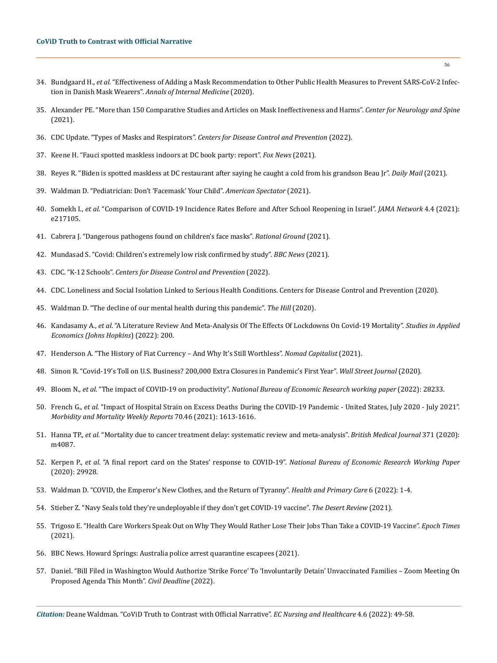- 34. Bundgaard H., *et al.* ["Effectiveness of Adding a Mask Recommendation to Other Public Health Measures to Prevent SARS-CoV-2 Infec](https://pubmed.ncbi.nlm.nih.gov/33205991/)tion in Danish Mask Wearers". *[Annals of Internal Medicine](https://pubmed.ncbi.nlm.nih.gov/33205991/)* (2020).
- 35. [Alexander PE. "More than 150 Comparative Studies and Articles on Mask Ineffectiveness and Harms".](https://www.johnjmcnally.co.uk/wp-content/uploads/2022/02/2.-mx-4141n_20220208_134634.pdf) *Center for Neurology and Spine* [\(2021\).](https://www.johnjmcnally.co.uk/wp-content/uploads/2022/02/2.-mx-4141n_20220208_134634.pdf)
- 36. CDC Update. "Types of Masks and Respirators". *Centers for Disease Control and Prevention* (2022).
- 37. [Keene H. "Fauci spotted maskless indoors at DC book party: report".](https://www.foxnews.com/politics/fauci-maskless-indoors-report) *Fox News* (2021).
- 38. [Reyes R. "Biden is spotted maskless at DC restaurant after saying he caught a cold from his grandson Beau Jr".](https://www.dailymail.co.uk/news/article-10275353/Biden-spotted-maskless-DC-restaurant-saying-caught-cold-grandson-Beau-Jr.html) *Daily Mail* (2021).
- 39. Waldman D. "Pediatrician: Don't 'Facemask' Your Child". *American Spectator* (2021).
- 40. Somekh I., *et al*[. "Comparison of COVID-19 Incidence Rates Before and After School Reopening in Israel".](https://jamanetwork.com/journals/jamanetworkopen/fullarticle/2778940) *JAMA Network* 4.4 (2021): [e217105.](https://jamanetwork.com/journals/jamanetworkopen/fullarticle/2778940)
- 41. Cabrera J. "Dangerous pathogens found on children's face masks". *Rational Ground* (2021).
- 42. [Mundasad S. "Covid: Children's extremely low risk confirmed by study".](https://www.bbc.com/news/health-57766717) *BBC News* (2021).
- 43. CDC. "K-12 Schools". *Centers for Disease Control and Prevention* (2022).
- 44. [CDC. Loneliness and Social Isolation Linked to Serious Health Conditions. Centers for Disease Control and Prevention \(2020\).](https://www.cdc.gov/aging/publications/features/lonely-older-adults.html)
- 45. [Waldman D. "The decline of our mental health during this pandemic".](https://www.kff.org/coronavirus-covid-19/issue-brief/the-implications-of-covid-19-for-mental-health-and-substance-use/) *The Hill* (2020).
- 46. Kandasamy A., *et al*[. "A Literature Review And Meta-Analysis Of The Effects Of Lockdowns On Covid-19 Mortality".](https://sites.krieger.jhu.edu/iae/files/2022/01/A-Literature-Review-and-Meta-Analysis-of-the-Effects-of-Lockdowns-on-COVID-19-Mortality.pdf) *Studies in Applied [Economics \(Johns Hopkins](https://sites.krieger.jhu.edu/iae/files/2022/01/A-Literature-Review-and-Meta-Analysis-of-the-Effects-of-Lockdowns-on-COVID-19-Mortality.pdf)*) (2022): 200.
- 47. [Henderson A. "The History of Fiat Currency And Why It's Still Worthless".](https://nomadcapitalist.com/finance/the-history-of-fiat-currency-still-worthless/) *Nomad Capitalist* (2021).
- 48. [Simon R. "Covid-19's Toll on U.S. Business? 200,000 Extra Closures in Pandemic's First Year".](https://www.wsj.com/articles/covid-19s-toll-on-u-s-business-200-000-extra-closures-in-pandemics-first-year-11618580619) *Wall Street Journal* (2020).
- 49. Bloom N., *et al.* "The impact of COVID-19 on productivity". *[National Bureau of Economic Research working paper](https://www.nber.org/system/files/working_papers/w28233/revisions/w28233.rev0.pdf)* (2022): 28233.
- 50. French G., *et al.* ["Impact of Hospital Strain on Excess Deaths During the COVID-19 Pandemic United States, July 2020 July 2021".](https://pubmed.ncbi.nlm.nih.gov/35113490/)  *[Morbidity and Mortality Weekly Reports](https://pubmed.ncbi.nlm.nih.gov/35113490/)* 70.46 (2021): 1613-1616.
- 51. Hanna TP., *et al.* ["Mortality due to cancer treatment delay: systematic review and meta-analysis".](https://www.bmj.com/content/371/bmj.m4087) *British Medical Journal* 371 (2020): [m4087.](https://www.bmj.com/content/371/bmj.m4087)
- 52. Kerpen P., *et al*. "A final report card on the States' response to COVID-19". *[National Bureau of Economic Research Working Paper](https://www.nber.org/papers/w29928)* [\(2020\): 29928.](https://www.nber.org/papers/w29928)
- 53. [Waldman D. "COVID, the Emperor's New Clothes, and the Return of Tyranny".](https://www.oatext.com/covid-the-emperor-s-new-clothes-and-the-return-of-tyranny.php) *Health and Primary Care* 6 (2022): 1-4.
- 54. [Stieber Z. "Navy Seals told they're undeployable if they don't get COVID-19 vaccine".](https://www.thedesertreview.com/_services/v1/client_captcha/challenge?request=X2xiX3JhdGVfZm9yZWlnbjpMMjVsZDNNdmJtRjJlUzF6WldGc2N5MTBiMnhrTFhSb1pYa3RjbVV0ZFc1a1pYQnNiM2xoWW14bExXbG1MWFJvWlhrdFpHOXVMWFF0WjJWMExXTnZkbWxrTFRFNUxYWmhZMk5wYm1VdllYSjBhV05zWlY4eVltRTJaV0kyTUMweU1EYzVMVEV4WldNdE9EQmxZUzFqWmpRNU5qUXlOamMyWWpFdWFIUnRiQToxNjUyNDQxOTI5OjB4MDliMGFjNzBlNjkyNzlkZjdlNzAxZWM0NmVkOGU2MGY4Zjc5Mjg4OQ) *The Desert Review* (2021).
- 55. [Trigoso E. "Health Care Workers Speak Out on Why They Would Rather Lose Their Jobs Than Take a COVID-19 Vaccine".](https://www.wsj.com/articles/covid-19-vaccinations-healthcare-workers-refuse-risk-jobs-11634915929) *Epoch Times* [\(2021\).](https://www.wsj.com/articles/covid-19-vaccinations-healthcare-workers-refuse-risk-jobs-11634915929)
- 56. [BBC News. Howard Springs: Australia police arrest quarantine escapees \(2021\).](https://www.bbc.com/news/world-australia-59486285)
- 57. [Daniel. "Bill Filed in Washington Would Authorize 'Strike Force' To 'Involuntarily Detain' Unvaccinated Families Zoom Meeting On](https://www.google.com/search?q=Bill+Filed+in+Washington+Would+Authorize+%E2%80%98Strike+Force%E2%80%99+To+%E2%80%98Involuntarily+Detain%E2%80%99+Unvaccinated+Families+%E2%80%93+Zoom+Meeting+On+Proposed+Agenda+This+Month&rlz=1C1VDKB_enIN1001IN1001&oq=Bill+Filed+in+Washington+Would+Authorize+%E2%80%98Strike+Force%E2%80%99+To+%E2%80%98Involuntarily+Detain%E2%80%99+Unvaccinated+Families+%E2%80%93+Zoom+Meeting+On+Proposed+Agenda+This+Month&aqs=chrome..69i57.476j0j4&sourceid=chrome&ie=UTF-8)  [Proposed Agenda This Month".](https://www.google.com/search?q=Bill+Filed+in+Washington+Would+Authorize+%E2%80%98Strike+Force%E2%80%99+To+%E2%80%98Involuntarily+Detain%E2%80%99+Unvaccinated+Families+%E2%80%93+Zoom+Meeting+On+Proposed+Agenda+This+Month&rlz=1C1VDKB_enIN1001IN1001&oq=Bill+Filed+in+Washington+Would+Authorize+%E2%80%98Strike+Force%E2%80%99+To+%E2%80%98Involuntarily+Detain%E2%80%99+Unvaccinated+Families+%E2%80%93+Zoom+Meeting+On+Proposed+Agenda+This+Month&aqs=chrome..69i57.476j0j4&sourceid=chrome&ie=UTF-8) *Civil Deadline* (2022).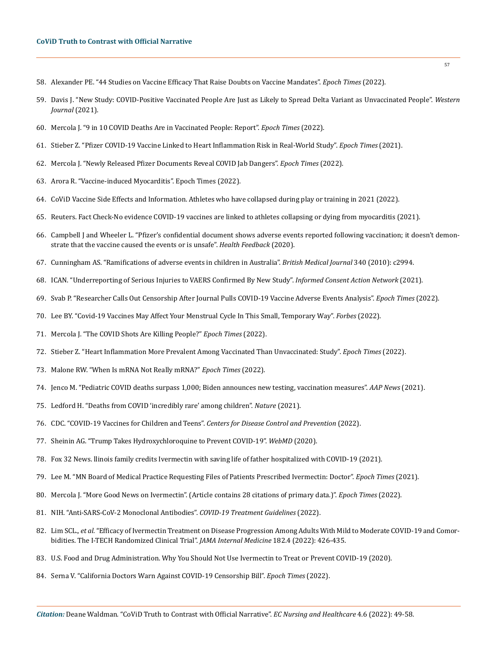- 58. [Alexander PE. "44 Studies on Vaccine Efficacy That Raise Doubts on Vaccine Mandates".](https://mashupmd.com/expert-articles-post/44-studies-on-vaccine-efficacy-that-raise-doubts-on-vaccine-mandates-%E2%8B%86-brownstone-institute/) *Epoch Times* (2022).
- 59. [Davis J. "New Study: COVID-Positive Vaccinated People Are Just as Likely to Spread Delta Variant as Unvaccinated People".](https://www.cdc.gov/coronavirus/2019-ncov/vaccines/effectiveness/why-measure-effectiveness/breakthrough-cases.html) *Western [Journal](https://www.cdc.gov/coronavirus/2019-ncov/vaccines/effectiveness/why-measure-effectiveness/breakthrough-cases.html)* (2021).
- 60. [Mercola J. "9 in 10 COVID Deaths Are in Vaccinated People: Report".](https://assets.publishing.service.gov.uk/government/uploads/system/uploads/attachment_data/file/1058464/Vaccine-surveillance-report-week-9.pdf) *Epoch Times* (2022).
- 61. Stieber Z. "Pfizer COVID-19 Vaccine Linked to Heart Inflammation Risk in Real-World Study". *Epoch Times* (2021).
- 62. Mercola J. "Newly Released Pfizer Documents Reveal COVID Jab Dangers". *Epoch Times* (2022).
- 63. Arora R. "Vaccine-induced Myocarditis". Epoch Times (2022).
- 64. CoViD Vaccine Side Effects and Information. Athletes who have collapsed during play or training in 2021 (2022).
- 65. [Reuters. Fact Check-No evidence COVID-19 vaccines are linked to athletes collapsing or dying from myocarditis \(2021\).](https://www.reuters.com/article/factcheck-coronavirus-sport-idUSL1N2SK160)
- 66. [Campbell J and Wheeler L. "Pfizer's confidential document shows adverse events reported following vaccination; it doesn't demon](https://healthfeedback.org/claimreview/pfizers-confidential-document-shows-adverse-events-reported-following-vaccination-it-doesnt-demonstrate-vaccine-caused-events-or-is-unsafe/)[strate that the vaccine caused the events or is unsafe".](https://healthfeedback.org/claimreview/pfizers-confidential-document-shows-adverse-events-reported-following-vaccination-it-doesnt-demonstrate-vaccine-caused-events-or-is-unsafe/) *Health Feedback* (2020).
- 67. [Cunningham AS. "Ramifications of adverse events in children in Australia".](https://www.bmj.com/content/340/bmj.c2994) *British Medical Journal* 340 (2010): c2994.
- 68. ICAN. "Underreporting of Serious Injuries to VAERS Confirmed By New Study". *Informed Consent Action Network* (2021).
- 69. Svab P. "Researcher Calls Out Censorship After Journal Pulls COVID-19 Vaccine Adverse Events Analysis". *Epoch Times* (2022).
- 70. [Lee BY. "Covid-19 Vaccines May Affect Your Menstrual Cycle In This Small, Temporary Way".](https://www.forbes.com/sites/brucelee/2022/02/05/covid-19-vaccines-may-affect-your-menstrual-cycle-in-this-small-temporary-way/) *Forbes* (2022).
- 71. Mercola J. "The COVID Shots Are Killing People?" *Epoch Times* (2022).
- 72. [Stieber Z. "Heart Inflammation More Prevalent Among Vaccinated Than Unvaccinated: Study".](https://www.webmd.com/vaccines/covid-19-vaccine/news/20210826/heart-inflammation-more-common-after-covid-than-after-vaccination) *Epoch Times* (2022).
- 73. Malone RW. "When Is mRNA Not Really mRNA?" *Epoch Times* (2022).
- 74. [Jenco M. "Pediatric COVID deaths surpass 1,000; Biden announces new testing, vaccination measures".](https://publications.aap.org/aapnews/news/18995/Pediatric-COVID-deaths-surpass-1-000-Biden) *AAP News* (2021).
- 75. [Ledford H. "Deaths from COVID 'incredibly rare' among children".](https://pesquisa.bvsalud.org/global-literature-on-novel-coronavirus-2019-ncov/resource/ru/covidwho-1315583) *Nature* (2021).
- 76. [CDC. "COVID-19 Vaccines for Children and Teens".](https://www.cdc.gov/coronavirus/2019-ncov/vaccines/recommendations/children-teens.html) *Centers for Disease Control and Prevention* (2022).
- 77. [Sheinin AG. "Trump Takes Hydroxychloroquine to Prevent COVID-19".](https://www.webmd.com/lung/news/20200520/trump-taking-hydroxychloroquine-to-prevent-covid-19) *WebMD* (2020).
- 78. [Fox 32 News. llinois family credits Ivermectin with saving life of father hospitalized with COVID-19 \(2021\).](https://www.fox32chicago.com/news/illinois-family-credits-ivermectin-with-saving-life-of-father-hospitalized-with-covid-19)
- 79. Lee M. "MN Board of Medical Practice Requesting Files of Patients Prescribed Ivermectin: Doctor". *Epoch Times* (2021).
- 80. Mercola J. "More Good News on Ivermectin". (Article contains 28 citations of primary data.)". *Epoch Times* (2022).
- 81. [NIH. "Anti-SARS-CoV-2 Monoclonal Antibodies".](https://www.thermofisher.com/antibody/primary/query/cov-2?gclid=EAIaIQobChMI65i-xrTc9wIVzGSLCh2-qwyxEAAYASAAEgIarvD_BwE&ef_id=EAIaIQobChMI65i-xrTc9wIVzGSLCh2-qwyxEAAYASAAEgIarvD_BwE:G:s&s_kwcid=AL!3652!3!515869570928!b!!g!!%2Bsars%20cov%20%2B2%20%2Bantibodies&cid=bid_pca_iel_r01_co_cp1359_pjt0000_bid00000_0se_gaw_nt_pur_con) *COVID-19 Treatment Guidelines* (2022).
- 82. Lim SCL., *et al.* ["Efficacy of Ivermectin Treatment on Disease Progression Among Adults With Mild to Moderate COVID-19 and Comor](https://jamanetwork.com/journals/jamainternalmedicine/fullarticle/2789362)[bidities. The I-TECH Randomized Clinical Trial".](https://jamanetwork.com/journals/jamainternalmedicine/fullarticle/2789362) *JAMA Internal Medicine* 182.4 (2022): 426-435.
- 83. [U.S. Food and Drug Administration. Why You Should Not Use Ivermectin to Treat or Prevent COVID-19 \(2020\).](https://www.fda.gov/consumers/consumer-updates/why-you-should-not-use-ivermectin-treat-or-prevent-covid-19)
- 84. Serna V. "California Doctors Warn Against COVID-19 Censorship Bill". *Epoch Times* (2022).